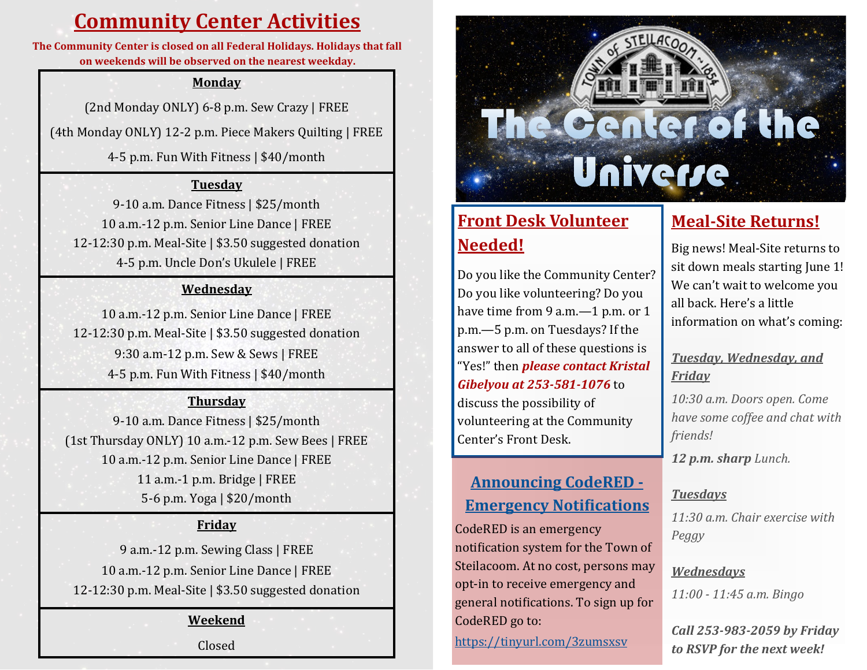# **Community Center Activities**

**The Community Center is closed on all Federal Holidays. Holidays that fall on weekends will be observed on the nearest weekday.**

#### **Monday**

(2nd Monday ONLY) 6-8 p.m. Sew Crazy | FREE

(4th Monday ONLY) 12-2 p.m. Piece Makers Quilting | FREE

4-5 p.m. Fun With Fitness | \$40/month

#### **Tuesday**

-10 a.m. Dance Fitness | \$25/month 10 a.m.-12 p.m. Senior Line Dance | FREE -12:30 p.m. Meal-Site | \$3.50 suggested donation -5 p.m. Uncle Don's Ukulele | FREE

#### **Wednesday**

10 a.m.-12 p.m. Senior Line Dance | FREE 12-12:30 p.m. Meal-Site | \$3.50 suggested donation 9:30 a.m-12 p.m. Sew & Sews | FREE 4-5 p.m. Fun With Fitness | \$40/month

#### **Thursday**

9-10 a.m. Dance Fitness | \$25/month (1st Thursday ONLY) 10 a.m.-12 p.m. Sew Bees | FREE 10 a.m.-12 p.m. Senior Line Dance | FREE 11 a.m.-1 p.m. Bridge | FREE 5-6 p.m. Yoga | \$20/month

#### **Friday**

9 a.m.-12 p.m. Sewing Class | FREE 10 a.m.-12 p.m. Senior Line Dance | FREE 12-12:30 p.m. Meal-Site | \$3.50 suggested donation

#### **Weekend**

Closed



# **Front Desk Volunteer Needed!**

Do you like the Community Center? Do you like volunteering? Do you have time from 9 a.m. - 1 p.m. or 1 p.m.—5 p.m. on Tuesdays? If the answer to all of these questions is "Yes!" then *please contact Kristal Gibelyou at 253-581-1076* to discuss the possibility of volunteering at the Community Center's Front Desk.

## **Announcing CodeRED - Emergency Notifications**

CodeRED is an emergency notification system for the Town of Steilacoom. At no cost, persons may opt-in to receive emergency and general notifications. To sign up for CodeRED go to: <https://tinyurl.com/3zumsxsv>

# **Meal-Site Returns!**

Big news! Meal-Site returns to sit down meals starting June 1! We can't wait to welcome you all back. Here's a little information on what's coming:

#### *Tuesday, Wednesday, and Friday*

*10:30 a.m. Doors open. Come have some coffee and chat with friends!* 

*12 p.m. sharp Lunch.*

#### *Tuesdays*

*11:30 a.m. Chair exercise with Peggy* 

#### *Wednesdays*

*11:00 - 11:45 a.m. Bingo* 

*Call 253-983-2059 by Friday to RSVP for the next week!*